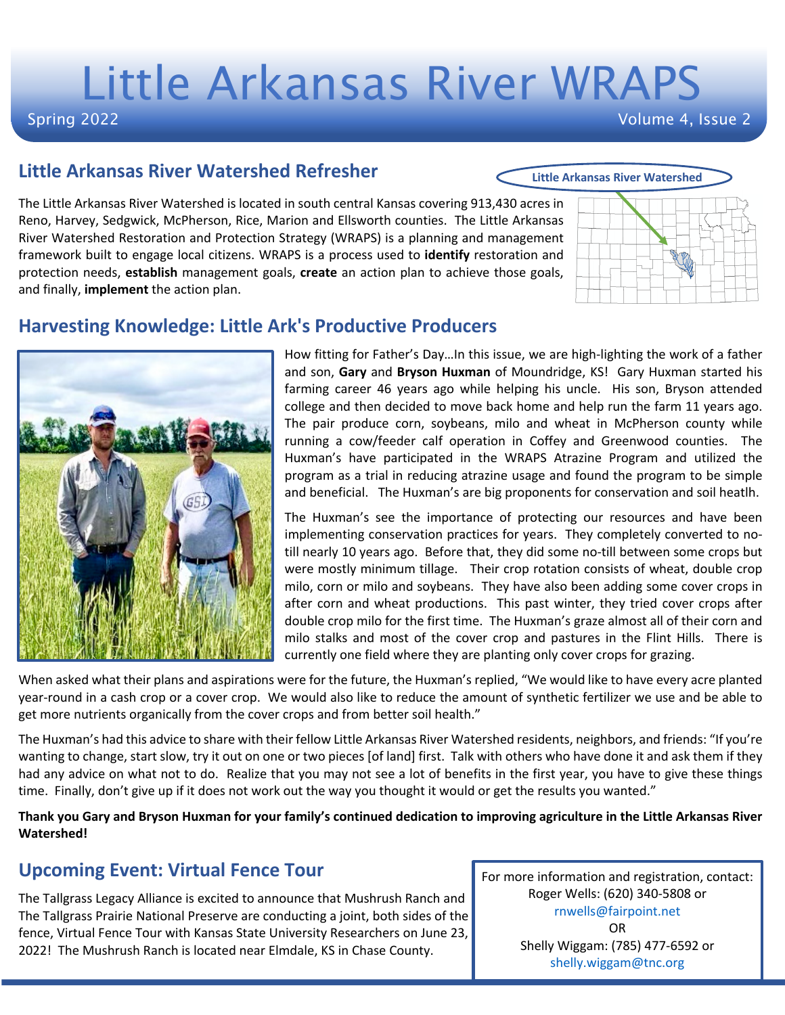# Little Arkansas River WRAPS

#### Spring 2022

Volume 4, Issue 2

#### **Little Arkansas River Watershed Refresher**

The Little Arkansas River Watershed is located in south central Kansas covering 913,430 acres in Reno, Harvey, Sedgwick, McPherson, Rice, Marion and Ellsworth counties. The Little Arkansas River Watershed Restoration and Protection Strategy (WRAPS) is a planning and management framework built to engage local citizens. WRAPS is a process used to **identify** restoration and protection needs, **establish** management goals, **create** an action plan to achieve those goals, and finally, **implement** the action plan.



**Little Arkansas River Watershed**

### **Harvesting Knowledge: Little Ark's Productive Producers**

How fitting for Father's Day…In this issue, we are high-lighting the work of a father and son, **Gary** and **Bryson Huxman** of Moundridge, KS! Gary Huxman started his farming career 46 years ago while helping his uncle. His son, Bryson attended college and then decided to move back home and help run the farm 11 years ago. The pair produce corn, soybeans, milo and wheat in McPherson county while running a cow/feeder calf operation in Coffey and Greenwood counties. The Huxman's have participated in the WRAPS Atrazine Program and utilized the program as a trial in reducing atrazine usage and found the program to be simple and beneficial. The Huxman's are big proponents for conservation and soil heatlh.

The Huxman's see the importance of protecting our resources and have been implementing conservation practices for years. They completely converted to notill nearly 10 years ago. Before that, they did some no-till between some crops but were mostly minimum tillage. Their crop rotation consists of wheat, double crop milo, corn or milo and soybeans. They have also been adding some cover crops in after corn and wheat productions. This past winter, they tried cover crops after double crop milo for the first time. The Huxman's graze almost all of their corn and milo stalks and most of the cover crop and pastures in the Flint Hills. There is currently one field where they are planting only cover crops for grazing.

When asked what their plans and aspirations were for the future, the Huxman's replied, "We would like to have every acre planted year-round in a cash crop or a cover crop. We would also like to reduce the amount of synthetic fertilizer we use and be able to get more nutrients organically from the cover crops and from better soil health."

The Huxman's had this advice to share with their fellow Little Arkansas River Watershed residents, neighbors, and friends: "If you're wanting to change, start slow, try it out on one or two pieces [of land] first. Talk with others who have done it and ask them if they had any advice on what not to do. Realize that you may not see a lot of benefits in the first year, you have to give these things time. Finally, don't give up if it does not work out the way you thought it would or get the results you wanted."

**Thank you Gary and Bryson Huxman for your family's continued dedication to improving agriculture in the Little Arkansas River Watershed!**

# **Upcoming Event: Virtual Fence Tour**

The Tallgrass Legacy Alliance is excited to announce that Mushrush Ranch and The Tallgrass Prairie National Preserve are conducting a joint, both sides of the fence, Virtual Fence Tour with Kansas State University Researchers on June 23, 2022! The Mushrush Ranch is located near Elmdale, KS in Chase County.

For more information and registration, contact: Roger Wells: (620) 340-5808 or rnwells@fairpoint.net OR Shelly Wiggam: (785) 477-6592 or shelly.wiggam@tnc.org